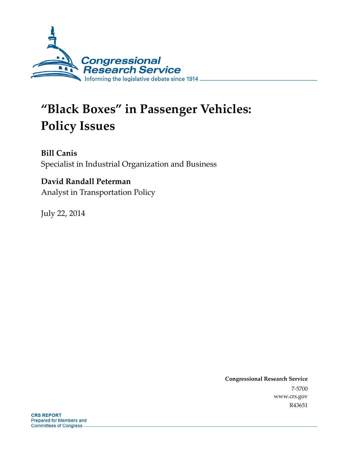

# **"Black Boxes" in Passenger Vehicles: Policy Issues**

**Bill Canis**  Specialist in Industrial Organization and Business

### **David Randall Peterman**

Analyst in Transportation Policy

July 22, 2014

**Congressional Research Service**  7-5700 www.crs.gov R43651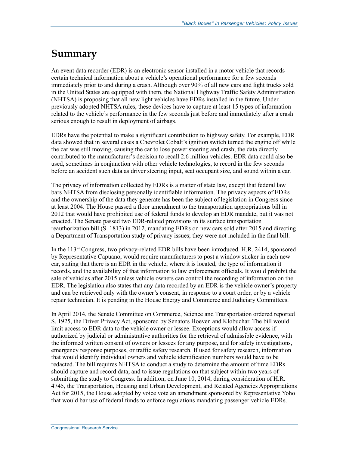## **Summary**

An event data recorder (EDR) is an electronic sensor installed in a motor vehicle that records certain technical information about a vehicle's operational performance for a few seconds immediately prior to and during a crash. Although over 90% of all new cars and light trucks sold in the United States are equipped with them, the National Highway Traffic Safety Administration (NHTSA) is proposing that all new light vehicles have EDRs installed in the future. Under previously adopted NHTSA rules, these devices have to capture at least 15 types of information related to the vehicle's performance in the few seconds just before and immediately after a crash serious enough to result in deployment of airbags.

EDRs have the potential to make a significant contribution to highway safety. For example, EDR data showed that in several cases a Chevrolet Cobalt's ignition switch turned the engine off while the car was still moving, causing the car to lose power steering and crash; the data directly contributed to the manufacturer's decision to recall 2.6 million vehicles. EDR data could also be used, sometimes in conjunction with other vehicle technologies, to record in the few seconds before an accident such data as driver steering input, seat occupant size, and sound within a car.

The privacy of information collected by EDRs is a matter of state law, except that federal law bars NHTSA from disclosing personally identifiable information. The privacy aspects of EDRs and the ownership of the data they generate has been the subject of legislation in Congress since at least 2004. The House passed a floor amendment to the transportation appropriations bill in 2012 that would have prohibited use of federal funds to develop an EDR mandate, but it was not enacted. The Senate passed two EDR-related provisions in its surface transportation reauthorization bill (S. 1813) in 2012, mandating EDRs on new cars sold after 2015 and directing a Department of Transportation study of privacy issues; they were not included in the final bill.

In the 113<sup>th</sup> Congress, two privacy-related EDR bills have been introduced. H.R. 2414, sponsored by Representative Capuano, would require manufacturers to post a window sticker in each new car, stating that there is an EDR in the vehicle, where it is located, the type of information it records, and the availability of that information to law enforcement officials. It would prohibit the sale of vehicles after 2015 unless vehicle owners can control the recording of information on the EDR. The legislation also states that any data recorded by an EDR is the vehicle owner's property and can be retrieved only with the owner's consent, in response to a court order, or by a vehicle repair technician. It is pending in the House Energy and Commerce and Judiciary Committees.

In April 2014, the Senate Committee on Commerce, Science and Transportation ordered reported S. 1925, the Driver Privacy Act, sponsored by Senators Hoeven and Klobuchar. The bill would limit access to EDR data to the vehicle owner or lessee. Exceptions would allow access if authorized by judicial or administrative authorities for the retrieval of admissible evidence, with the informed written consent of owners or lessees for any purpose, and for safety investigations, emergency response purposes, or traffic safety research. If used for safety research, information that would identify individual owners and vehicle identification numbers would have to be redacted. The bill requires NHTSA to conduct a study to determine the amount of time EDRs should capture and record data, and to issue regulations on that subject within two years of submitting the study to Congress. In addition, on June 10, 2014, during consideration of H.R. 4745, the Transportation, Housing and Urban Development, and Related Agencies Appropriations Act for 2015, the House adopted by voice vote an amendment sponsored by Representative Yoho that would bar use of federal funds to enforce regulations mandating passenger vehicle EDRs.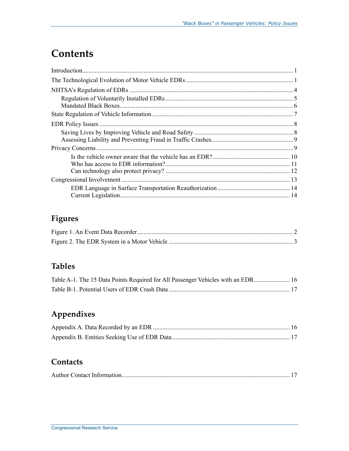## **Contents**

### **Figures**

### **Tables**

| Table A-1. The 15 Data Points Required for All Passenger Vehicles with an EDR 16 |  |
|----------------------------------------------------------------------------------|--|
|                                                                                  |  |

### **Appendixes**

### **Contacts**

|--|--|--|--|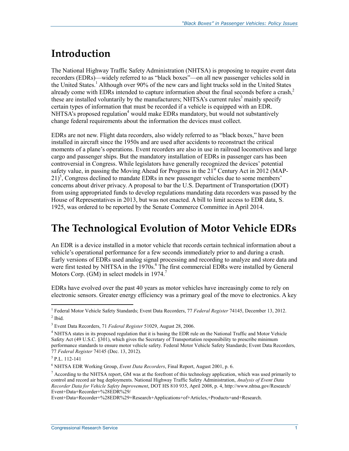## **Introduction**

The National Highway Traffic Safety Administration (NHTSA) is proposing to require event data recorders (EDRs)—widely referred to as "black boxes"—on all new passenger vehicles sold in the United States.<sup>1</sup> Although over 90% of the new cars and light trucks sold in the United States already come with EDRs intended to capture information about the final seconds before a crash,<sup>2</sup> these are installed voluntarily by the manufacturers; NHTSA's current rules<sup>3</sup> mainly specify certain types of information that must be recorded if a vehicle is equipped with an EDR. NHTSA's proposed regulation<sup>4</sup> would make EDRs mandatory, but would not substantively change federal requirements about the information the devices must collect.

EDRs are not new. Flight data recorders, also widely referred to as "black boxes," have been installed in aircraft since the 1950s and are used after accidents to reconstruct the critical moments of a plane's operations. Event recorders are also in use in railroad locomotives and large cargo and passenger ships. But the mandatory installation of EDRs in passenger cars has been controversial in Congress. While legislators have generally recognized the devices' potential safety value, in passing the Moving Ahead for Progress in the  $21<sup>st</sup>$  Century Act in 2012 (MAP- $21$ <sup>5</sup>, Congress declined to mandate EDRs in new passenger vehicles due to some members' concerns about driver privacy. A proposal to bar the U.S. Department of Transportation (DOT) from using appropriated funds to develop regulations mandating data recorders was passed by the House of Representatives in 2013, but was not enacted. A bill to limit access to EDR data, S. 1925, was ordered to be reported by the Senate Commerce Committee in April 2014.

### **The Technological Evolution of Motor Vehicle EDRs**

An EDR is a device installed in a motor vehicle that records certain technical information about a vehicle's operational performance for a few seconds immediately prior to and during a crash. Early versions of EDRs used analog signal processing and recording to analyze and store data and were first tested by NHTSA in the 1970s.<sup>6</sup> The first commercial EDRs were installed by General Motors Corp. (GM) in select models in  $1974$ .<sup>7</sup>

EDRs have evolved over the past 40 years as motor vehicles have increasingly come to rely on electronic sensors. Greater energy efficiency was a primary goal of the move to electronics. A key

<u>.</u>

<sup>1</sup> Federal Motor Vehicle Safety Standards; Event Data Recorders, 77 *Federal Register* 74145, December 13, 2012.  $<sup>2</sup>$  Ibid.</sup>

<sup>3</sup> Event Data Recorders, 71 *Federal Register* 51029, August 28, 2006.

<sup>&</sup>lt;sup>4</sup> NHTSA states in its proposed regulation that it is basing the EDR rule on the National Traffic and Motor Vehicle Safety Act (49 U.S.C. §301), which gives the Secretary of Transportation responsibility to prescribe minimum performance standards to ensure motor vehicle safety. Federal Motor Vehicle Safety Standards; Event Data Recorders, 77 *Federal Register* 74145 (Dec. 13, 2012).

<sup>5</sup> P.L. 112-141

<sup>6</sup> NHTSA EDR Working Group, *Event Data Recorders*, Final Report, August 2001, p. 6.

 $<sup>7</sup>$  According to the NHTSA report, GM was at the forefront of this technology application, which was used primarily to</sup> control and record air bag deployments. National Highway Traffic Safety Administration, *Analysis of Event Data Recorder Data for Vehicle Safety Improvement*, DOT HS 810 935, April 2008, p. 4, http://www.nhtsa.gov/Research/ Event+Data+Recorder+%28EDR%29/

Event+Data+Recorder+%28EDR%29+Research+Applications+of+Articles,+Products+and+Research.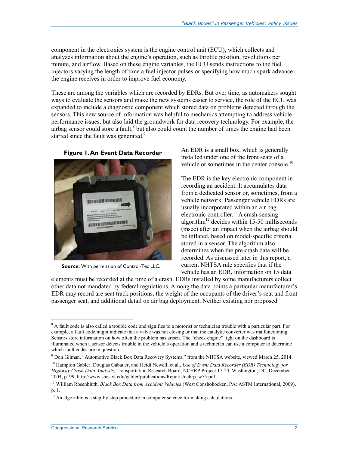component in the electronics system is the engine control unit (ECU), which collects and analyzes information about the engine's operation, such as throttle position, revolutions per minute, and airflow. Based on these engine variables, the ECU sends instructions to the fuel injectors varying the length of time a fuel injector pulses or specifying how much spark advance the engine receives in order to improve fuel economy.

These are among the variables which are recorded by EDRs. But over time, as automakers sought ways to evaluate the sensors and make the new systems easier to service, the role of the ECU was expanded to include a diagnostic component which stored data on problems detected through the sensors. This new source of information was helpful to mechanics attempting to address vehicle performance issues, but also laid the groundwork for data recovery technology. For example, the  $\alpha$ irbag sensor could store a fault, $\alpha$ <sup>8</sup> but also could count the number of times the engine had been started since the fault was generated.<sup>9</sup>



**Source:** With permission of Control-Tec LLC.

An EDR is a small box, which is generally installed under one of the front seats of a vehicle or sometimes in the center console.<sup>10</sup>

The EDR is the key electronic component in recording an accident. It accumulates data from a dedicated sensor or, sometimes, from a vehicle network. Passenger vehicle EDRs are usually incorporated within an air bag electronic controller.<sup>11</sup> A crash-sensing algorithm<sup>12</sup> decides within 15-50 milliseconds (msec) after an impact when the airbag should be inflated, based on model-specific criteria stored in a sensor. The algorithm also determines when the pre-crash data will be recorded. As discussed later in this report, a current NHTSA rule specifies that if the vehicle has an EDR, information on 15 data

elements must be recorded at the time of a crash. EDRs installed by some manufacturers collect other data not mandated by federal regulations. Among the data points a particular manufacturer's EDR may record are seat track positions, the weight of the occupants of the driver's seat and front passenger seat, and additional detail on air bag deployment. Neither existing nor proposed

<sup>&</sup>lt;sup>8</sup> A fault code is also called a trouble code and signifies to a motorist or technician trouble with a particular part. For example, a fault code might indicate that a valve was not closing or that the catalytic converter was malfunctioning. Sensors store information on how often the problem has arisen. The "check engine" light on the dashboard is illuminated when a sensor detects trouble in the vehicle's operation and a technician can use a computer to determine which fault codes are in question.

<sup>9</sup> Don Gilman, "Automotive Black Box Data Recovery Systems," from the NHTSA website, viewed March 25, 2014.

<sup>10</sup> Hampton Gabler, Douglas Gabauer, and Heidi Newell, et al., *Use of Event Data Recorder (EDR) Technology for Highway Crash Data Analysis*, Transportation Research Board, NCHRP Project 17-24, Washington, DC, December 2004, p. 99, http://www.sbes.vt.edu/gabler/publications/Reports/nchrp\_w75.pdf.

<sup>11</sup> William Rosenbluth, *Black Box Data from Accident Vehicles* (West Conshohocken, PA: ASTM International, 2009), p. 1.

 $12$  An algorithm is a step-by-step procedure in computer science for making calculations.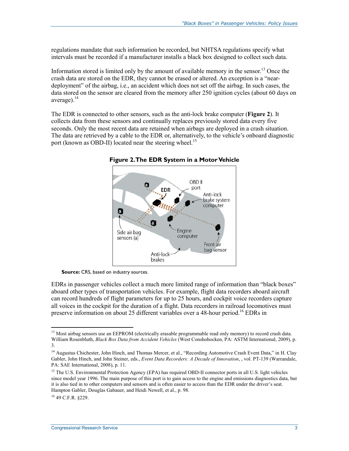regulations mandate that such information be recorded, but NHTSA regulations specify what intervals must be recorded if a manufacturer installs a black box designed to collect such data.

Information stored is limited only by the amount of available memory in the sensor.<sup>13</sup> Once the crash data are stored on the EDR, they cannot be erased or altered. An exception is a "neardeployment" of the airbag, i.e., an accident which does not set off the airbag. In such cases, the data stored on the sensor are cleared from the memory after 250 ignition cycles (about 60 days on average). $^{14}$ 

The EDR is connected to other sensors, such as the anti-lock brake computer (**Figure 2**). It collects data from these sensors and continually replaces previously stored data every five seconds. Only the most recent data are retained when airbags are deployed in a crash situation. The data are retrieved by a cable to the EDR or, alternatively, to the vehicle's onboard diagnostic port (known as OBD-II) located near the steering wheel.<sup>15</sup>



**Figure 2. The EDR System in a Motor Vehicle** 

**Source:** CRS, based on industry sources.

EDRs in passenger vehicles collect a much more limited range of information than "black boxes" aboard other types of transportation vehicles. For example, flight data recorders aboard aircraft can record hundreds of flight parameters for up to 25 hours, and cockpit voice recorders capture all voices in the cockpit for the duration of a flight. Data recorders in railroad locomotives must preserve information on about 25 different variables over a 48-hour period.<sup>16</sup> EDRs in

<sup>&</sup>lt;u>.</u> <sup>13</sup> Most airbag sensors use an EEPROM (electrically erasable programmable read only memory) to record crash data. William Rosenbluth, *Black Box Data from Accident Vehicles* (West Conshohocken, PA: ASTM International, 2009), p. 3.

<sup>&</sup>lt;sup>14</sup> Augustus Chichester, John Hinch, and Thomas Mercer, et al., "Recording Automotive Crash Event Data," in H. Clay Gabler, John Hinch, and John Steiner, eds., *Event Data Recorders: A Decade of Innovation*, , vol. PT-139 (Warrandale, PA: SAE International, 2008), p. 11.

<sup>&</sup>lt;sup>15</sup> The U.S. Environmental Protection Agency (EPA) has required OBD-II connector ports in all U.S. light vehicles since model year 1996. The main purpose of this port is to gain access to the engine and emissions diagnostics data, but it is also tied in to other computers and sensors and is often easier to access than the EDR under the driver's seat. Hampton Gabler, Douglas Gabauer, and Heidi Newell, et al., p. 98.

 $16$  49 C.F.R. 8229.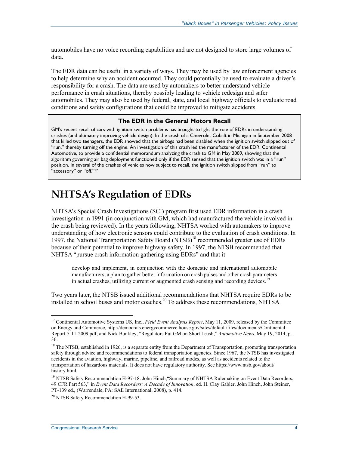automobiles have no voice recording capabilities and are not designed to store large volumes of data.

The EDR data can be useful in a variety of ways. They may be used by law enforcement agencies to help determine why an accident occurred. They could potentially be used to evaluate a driver's responsibility for a crash. The data are used by automakers to better understand vehicle performance in crash situations, thereby possibly leading to vehicle redesign and safer automobiles. They may also be used by federal, state, and local highway officials to evaluate road conditions and safety configurations that could be improved to mitigate accidents.

#### **The EDR in the General Motors Recall**

GM's recent recall of cars with ignition switch problems has brought to light the role of EDRs in understanding crashes (and ultimately improving vehicle design). In the crash of a Chevrolet Cobalt in Michigan in September 2008 that killed two teenagers, the EDR showed that the airbags had been disabled when the ignition switch slipped out of "run," thereby turning off the engine. An investigation of this crash led the manufacturer of the EDR, Continental Automotive, to provide a confidential memorandum analyzing the crash to GM in May 2009, showing that the algorithm governing air bag deployment functioned only if the EDR sensed that the ignition switch was in a "run" position. In several of the crashes of vehicles now subject to recall, the ignition switch slipped from "run" to "accessory" or "off."<sup>17</sup>

### **NHTSA's Regulation of EDRs**

NHTSA's Special Crash Investigations (SCI) program first used EDR information in a crash investigation in 1991 (in conjunction with GM, which had manufactured the vehicle involved in the crash being reviewed). In the years following, NHTSA worked with automakers to improve understanding of how electronic sensors could contribute to the evaluation of crash conditions. In 1997, the National Transportation Safety Board (NTSB)<sup>18</sup> recommended greater use of EDRs because of their potential to improve highway safety. In 1997, the NTSB recommended that NHTSA "pursue crash information gathering using EDRs" and that it

develop and implement, in conjunction with the domestic and international automobile manufacturers, a plan to gather better information on crash pulses and other crash parameters in actual crashes, utilizing current or augmented crash sensing and recording devices.<sup>19</sup>

Two years later, the NTSB issued additional recommendations that NHTSA require EDRs to be installed in school buses and motor coaches.<sup>20</sup> To address these recommendations, NHTSA

<u>.</u>

<sup>17</sup> Continental Automotive Systems US, Inc., *Field Event Analysis Report*, May 11, 2009, released by the Committee on Energy and Commerce, http://democrats.energycommerce.house.gov/sites/default/files/documents/Continental-Report-5-11-2009.pdf; and Nick Bunkley, "Regulators Put GM on Short Leash," *Automotive News*, May 19, 2014, p. 36.

<sup>&</sup>lt;sup>18</sup> The NTSB, established in 1926, is a separate entity from the Department of Transportation, promoting transportation safety through advice and recommendations to federal transportation agencies. Since 1967, the NTSB has investigated accidents in the aviation, highway, marine, pipeline, and railroad modes, as well as accidents related to the transportation of hazardous materials. It does not have regulatory authority. See https://www.ntsb.gov/about/ history.html.

<sup>&</sup>lt;sup>19</sup> NTSB Safety Recommendation H-97-18. John Hinch, "Summary of NHTSA Rulemaking on Event Data Recorders, 49 CFR Part 563," in *Event Data Recorders: A Decade of Innovation*, ed. H. Clay Gabler, John Hinch, John Steiner, PT-139 ed., (Warrendale, PA: SAE International, 2008), p. 414.

<sup>&</sup>lt;sup>20</sup> NTSB Safety Recommendation H-99-53.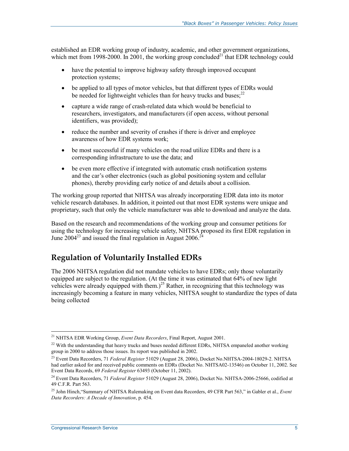established an EDR working group of industry, academic, and other government organizations, which met from 1998-2000. In 2001, the working group concluded<sup>21</sup> that EDR technology could

- have the potential to improve highway safety through improved occupant protection systems;
- be applied to all types of motor vehicles, but that different types of EDRs would be needed for lightweight vehicles than for heavy trucks and buses; $^{22}$
- capture a wide range of crash-related data which would be beneficial to researchers, investigators, and manufacturers (if open access, without personal identifiers, was provided);
- reduce the number and severity of crashes if there is driver and employee awareness of how EDR systems work;
- be most successful if many vehicles on the road utilize EDRs and there is a corresponding infrastructure to use the data; and
- be even more effective if integrated with automatic crash notification systems and the car's other electronics (such as global positioning system and cellular phones), thereby providing early notice of and details about a collision.

The working group reported that NHTSA was already incorporating EDR data into its motor vehicle research databases. In addition, it pointed out that most EDR systems were unique and proprietary, such that only the vehicle manufacturer was able to download and analyze the data.

Based on the research and recommendations of the working group and consumer petitions for using the technology for increasing vehicle safety, NHTSA proposed its first EDR regulation in June  $2004^{23}$  and issued the final regulation in August  $2006.<sup>24</sup>$ 

### **Regulation of Voluntarily Installed EDRs**

The 2006 NHTSA regulation did not mandate vehicles to have EDRs; only those voluntarily equipped are subject to the regulation. (At the time it was estimated that 64% of new light vehicles were already equipped with them.)<sup>25</sup> Rather, in recognizing that this technology was increasingly becoming a feature in many vehicles, NHTSA sought to standardize the types of data being collected

<sup>21</sup> NHTSA EDR Working Group, *Event Data Recorders*, Final Report, August 2001.

<sup>&</sup>lt;sup>22</sup> With the understanding that heavy trucks and buses needed different EDRs, NHTSA empaneled another working group in 2000 to address those issues. Its report was published in 2002.

<sup>23</sup> Event Data Recorders, 71 *Federal Register* 51029 (August 28, 2006), Docket No.NHTSA-2004-18029-2. NHTSA had earlier asked for and received public comments on EDRs (Docket No. NHTSA02-13546) on October 11, 2002. See Event Data Records, 69 *Federal Register* 63493 (October 11, 2002).

<sup>24</sup> Event Data Recorders, 71 *Federal Register* 51029 (August 28, 2006), Docket No. NHTSA-2006-25666, codified at 49 C.F.R. Part 563.

<sup>25</sup> John Hinch,"Summary of NHTSA Rulemaking on Event data Recorders, 49 CFR Part 563," in Gabler et al., *Event Data Recorders: A Decade of Innovation*, p. 454.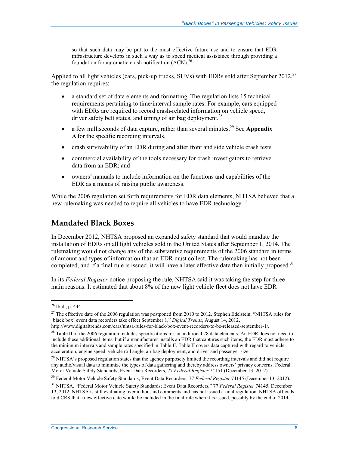so that such data may be put to the most effective future use and to ensure that EDR infrastructure develops in such a way as to speed medical assistance through providing a foundation for automatic crash notification  $(ACN)^{26}$ 

Applied to all light vehicles (cars, pick-up trucks, SUVs) with EDRs sold after September 2012,<sup>27</sup> the regulation requires:

- a standard set of data elements and formatting. The regulation lists 15 technical requirements pertaining to time/interval sample rates. For example, cars equipped with EDRs are required to record crash-related information on vehicle speed, driver safety belt status, and timing of air bag deployment.<sup>28</sup>
- a few milliseconds of data capture, rather than several minutes.<sup>29</sup> See **Appendix A** for the specific recording intervals.
- crash survivability of an EDR during and after front and side vehicle crash tests
- commercial availability of the tools necessary for crash investigators to retrieve data from an EDR; and
- owners' manuals to include information on the functions and capabilities of the EDR as a means of raising public awareness.

While the 2006 regulation set forth requirements for EDR data elements, NHTSA believed that a new rulemaking was needed to require all vehicles to have EDR technology.<sup>30</sup>

#### **Mandated Black Boxes**

In December 2012, NHTSA proposed an expanded safety standard that would mandate the installation of EDRs on all light vehicles sold in the United States after September 1, 2014. The rulemaking would not change any of the substantive requirements of the 2006 standard in terms of amount and types of information that an EDR must collect. The rulemaking has not been completed, and if a final rule is issued, it will have a later effective date than initially proposed.<sup>31</sup>

In its *Federal Register* notice proposing the rule, NHTSA said it was taking the step for three main reasons. It estimated that about 8% of the new light vehicle fleet does not have EDR

<sup>26</sup> Ibid., p. 444.

 $^{27}$  The effective date of the 2006 regulation was postponed from 2010 to 2012. Stephen Edelstein, "NHTSA rules for 'black box' event data recorders take effect September 1," *Digital Trends*, August 14, 2012,

http://www.digitaltrends.com/cars/nhtsa-rules-for-black-box-event-recorders-to-be-released-september-1/.

 $^{28}$  Table II of the 2006 regulation includes specifications for an additional 28 data elements. An EDR does not need to include these additional items, but if a manufacturer installs an EDR that captures such items, the EDR must adhere to the minimum intervals and sample rates specified in Table II. Table II covers data captured with regard to vehicle acceleration, engine speed, vehicle roll angle, air bag deployment, and driver and passenger size.

<sup>&</sup>lt;sup>29</sup> NHTSA's proposed regulation states that the agency purposely limited the recording intervals and did not require any audio/visual data to minimize the types of data gathering and thereby address owners' privacy concerns. Federal Motor Vehicle Safety Standards; Event Data Recorders, 77 *Federal Register* 74151 (December 13, 2012).

<sup>30</sup> Federal Motor Vehicle Safety Standards; Event Data Recorders, 77 *Federal Register* 74145 (December 13, 2012).

<sup>31</sup> NHTSA, "Federal Motor Vehicle Safety Standards; Event Data Recorders," 77 *Federal Register* 74145, December 13, 2012. NHTSA is still evaluating over a thousand comments and has not issued a final regulation. NHTSA officials told CRS that a new effective date would be included in the final rule when it is issued, possibly by the end of 2014.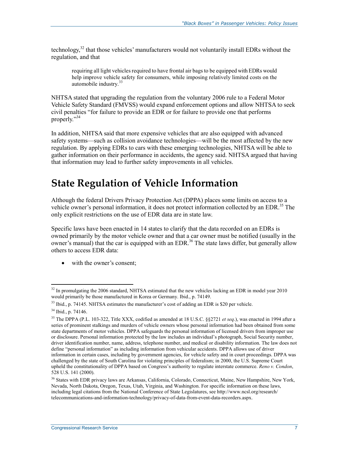technology, $32$  that those vehicles' manufacturers would not voluntarily install EDRs without the regulation, and that

requiring all light vehicles required to have frontal air bags to be equipped with EDRs would help improve vehicle safety for consumers, while imposing relatively limited costs on the automobile industry.<sup>33</sup>

NHTSA stated that upgrading the regulation from the voluntary 2006 rule to a Federal Motor Vehicle Safety Standard (FMVSS) would expand enforcement options and allow NHTSA to seek civil penalties "for failure to provide an EDR or for failure to provide one that performs properly."34

In addition, NHTSA said that more expensive vehicles that are also equipped with advanced safety systems—such as collision avoidance technologies—will be the most affected by the new regulation. By applying EDRs to cars with these emerging technologies, NHTSA will be able to gather information on their performance in accidents, the agency said. NHTSA argued that having that information may lead to further safety improvements in all vehicles.

## **State Regulation of Vehicle Information**

Although the federal Drivers Privacy Protection Act (DPPA) places some limits on access to a vehicle owner's personal information, it does not protect information collected by an EDR.<sup>35</sup> The only explicit restrictions on the use of EDR data are in state law.

Specific laws have been enacted in 14 states to clarify that the data recorded on an EDRs is owned primarily by the motor vehicle owner and that a car owner must be notified (usually in the owner's manual) that the car is equipped with an EDR.<sup>36</sup> The state laws differ, but generally allow others to access EDR data:

• with the owner's consent;

 $32$  In promulgating the 2006 standard, NHTSA estimated that the new vehicles lacking an EDR in model year 2010 would primarily be those manufactured in Korea or Germany. Ibid., p. 74149.

 $33$  Ibid., p. 74145. NHTSA estimates the manufacturer's cost of adding an EDR is \$20 per vehicle.

<sup>34</sup> Ibid., p. 74146.

<sup>35</sup> The DPPA (P.L. 103-322, Title XXX, codified as amended at 18 U.S.C. §§2721 *et seq*.), was enacted in 1994 after a series of prominent stalkings and murders of vehicle owners whose personal information had been obtained from some state departments of motor vehicles. DPPA safeguards the personal information of licensed drivers from improper use or disclosure. Personal information protected by the law includes an individual's photograph, Social Security number, driver identification number, name, address, telephone number, and medical or disability information. The law does not define "personal information" as including information from vehicular accidents. DPPA allows use of driver information in certain cases, including by government agencies, for vehicle safety and in court proceedings. DPPA was challenged by the state of South Carolina for violating principles of federalism; in 2000, the U.S. Supreme Court upheld the constitutionality of DPPA based on Congress's authority to regulate interstate commerce. *Reno v. Condon*, 528 U.S. 141 (2000).

<sup>&</sup>lt;sup>36</sup> States with EDR privacy laws are Arkansas, California, Colorado, Connecticut, Maine, New Hampshire, New York, Nevada, North Dakota, Oregon, Texas, Utah, Virginia, and Washington. For specific information on these laws, including legal citations from the National Conference of State Legislatures, see http://www.ncsl.org/research/ telecommunications-and-information-technology/privacy-of-data-from-event-data-recorders.aspx.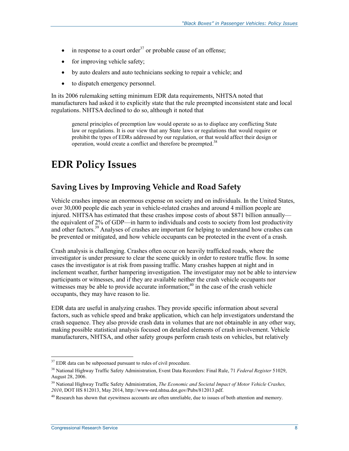- in response to a court order<sup>37</sup> or probable cause of an offense;
- for improving vehicle safety;
- by auto dealers and auto technicians seeking to repair a vehicle; and
- to dispatch emergency personnel.

In its 2006 rulemaking setting minimum EDR data requirements, NHTSA noted that manufacturers had asked it to explicitly state that the rule preempted inconsistent state and local regulations. NHTSA declined to do so, although it noted that

general principles of preemption law would operate so as to displace any conflicting State law or regulations. It is our view that any State laws or regulations that would require or prohibit the types of EDRs addressed by our regulation, or that would affect their design or operation, would create a conflict and therefore be preempted.<sup>38</sup>

## **EDR Policy Issues**

### **Saving Lives by Improving Vehicle and Road Safety**

Vehicle crashes impose an enormous expense on society and on individuals. In the United States, over 30,000 people die each year in vehicle-related crashes and around 4 million people are injured. NHTSA has estimated that these crashes impose costs of about \$871 billion annually the equivalent of 2% of GDP—in harm to individuals and costs to society from lost productivity and other factors.<sup>39</sup> Analyses of crashes are important for helping to understand how crashes can be prevented or mitigated, and how vehicle occupants can be protected in the event of a crash.

Crash analysis is challenging. Crashes often occur on heavily trafficked roads, where the investigator is under pressure to clear the scene quickly in order to restore traffic flow. In some cases the investigator is at risk from passing traffic. Many crashes happen at night and in inclement weather, further hampering investigation. The investigator may not be able to interview participants or witnesses, and if they are available neither the crash vehicle occupants nor witnesses may be able to provide accurate information;  $40$  in the case of the crash vehicle occupants, they may have reason to lie.

EDR data are useful in analyzing crashes. They provide specific information about several factors, such as vehicle speed and brake application, which can help investigators understand the crash sequence. They also provide crash data in volumes that are not obtainable in any other way, making possible statistical analysis focused on detailed elements of crash involvement. Vehicle manufacturers, NHTSA, and other safety groups perform crash tests on vehicles, but relatively

 $37$  EDR data can be subpoenaed pursuant to rules of civil procedure.

<sup>38</sup> National Highway Traffic Safety Administration, Event Data Recorders: Final Rule, 71 *Federal Register* 51029, August 28, 2006.

<sup>&</sup>lt;sup>39</sup> National Highway Traffic Safety Administration, *The Economic and Societal Impact of Motor Vehicle Crashes, 2010*, DOT HS 812013, May 2014, http://www-nrd.nhtsa.dot.gov/Pubs/812013.pdf.

 $^{40}$  Research has shown that eyewitness accounts are often unreliable, due to issues of both attention and memory.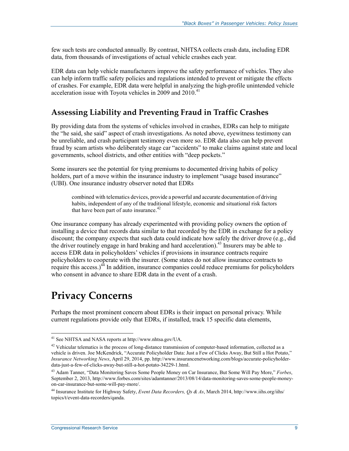few such tests are conducted annually. By contrast, NHTSA collects crash data, including EDR data, from thousands of investigations of actual vehicle crashes each year.

EDR data can help vehicle manufacturers improve the safety performance of vehicles. They also can help inform traffic safety policies and regulations intended to prevent or mitigate the effects of crashes. For example, EDR data were helpful in analyzing the high-profile unintended vehicle acceleration issue with Toyota vehicles in 2009 and  $2010^{41}$ 

#### **Assessing Liability and Preventing Fraud in Traffic Crashes**

By providing data from the systems of vehicles involved in crashes, EDRs can help to mitigate the "he said, she said" aspect of crash investigations. As noted above, eyewitness testimony can be unreliable, and crash participant testimony even more so. EDR data also can help prevent fraud by scam artists who deliberately stage car "accidents" to make claims against state and local governments, school districts, and other entities with "deep pockets."

Some insurers see the potential for tying premiums to documented driving habits of policy holders, part of a move within the insurance industry to implement "usage based insurance" (UBI). One insurance industry observer noted that EDRs

combined with telematics devices, provide a powerful and accurate documentation of driving habits, independent of any of the traditional lifestyle, economic and situational risk factors that have been part of auto insurance.<sup>42</sup>

One insurance company has already experimented with providing policy owners the option of installing a device that records data similar to that recorded by the EDR in exchange for a policy discount; the company expects that such data could indicate how safely the driver drove (e.g., did the driver routinely engage in hard braking and hard acceleration).<sup>43</sup> Insurers may be able to access EDR data in policyholders' vehicles if provisions in insurance contracts require policyholders to cooperate with the insurer. (Some states do not allow insurance contracts to require this access.)<sup>44</sup> In addition, insurance companies could reduce premiums for policyholders who consent in advance to share EDR data in the event of a crash.

### **Privacy Concerns**

1

Perhaps the most prominent concern about EDRs is their impact on personal privacy. While current regulations provide only that EDRs, if installed, track 15 specific data elements,

<sup>41</sup> See NHTSA and NASA reports at http://www.nhtsa.gov/UA.

 $42$  Vehicular telematics is the process of long-distance transmission of computer-based information, collected as a vehicle is driven. Joe McKendrick, "Accurate Policyholder Data: Just a Few of Clicks Away, But Still a Hot Potato," *Insurance Networking News*, April 29, 2014, pp. http://www.insurancenetworking.com/blogs/accurate-policyholderdata-just-a-few-of-clicks-away-but-still-a-hot-potato-34229-1.html.

<sup>43</sup> Adam Tanner, "Data Monitoring Saves Some People Money on Car Insurance, But Some Will Pay More," *Forbes*, September 2, 2013, http://www.forbes.com/sites/adamtanner/2013/08/14/data-monitoring-saves-some-people-moneyon-car-insurance-but-some-will-pay-more/.

<sup>44</sup> Insurance Institute for Highway Safety, *Event Data Recorders, Qs & As*, March 2014, http://www.iihs.org/iihs/ topics/t/event-data-recorders/qanda.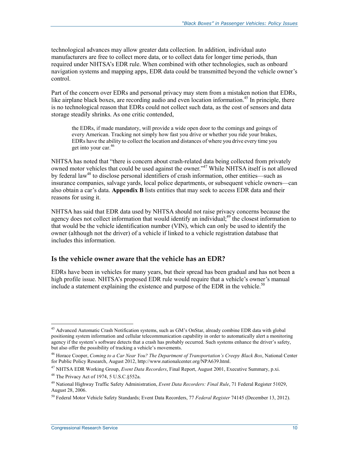technological advances may allow greater data collection. In addition, individual auto manufacturers are free to collect more data, or to collect data for longer time periods, than required under NHTSA's EDR rule. When combined with other technologies, such as onboard navigation systems and mapping apps, EDR data could be transmitted beyond the vehicle owner's control.

Part of the concern over EDRs and personal privacy may stem from a mistaken notion that EDRs, like airplane black boxes, are recording audio and even location information.<sup>45</sup> In principle, there is no technological reason that EDRs could not collect such data, as the cost of sensors and data storage steadily shrinks. As one critic contended,

the EDRs, if made mandatory, will provide a wide open door to the comings and goings of every American. Tracking not simply how fast you drive or whether you ride your brakes, EDRs have the ability to collect the location and distances of where you drive every time you get into your car.<sup>46</sup>

NHTSA has noted that "there is concern about crash-related data being collected from privately owned motor vehicles that could be used against the owner."<sup>47</sup> While NHTSA itself is not allowed by federal law<sup>48</sup> to disclose personal identifiers of crash information, other entities—such as insurance companies, salvage yards, local police departments, or subsequent vehicle owners—can also obtain a car's data. **Appendix B** lists entities that may seek to access EDR data and their reasons for using it.

NHTSA has said that EDR data used by NHTSA should not raise privacy concerns because the agency does not collect information that would identify an individual;<sup>49</sup> the closest information to that would be the vehicle identification number (VIN), which can only be used to identify the owner (although not the driver) of a vehicle if linked to a vehicle registration database that includes this information.

#### **Is the vehicle owner aware that the vehicle has an EDR?**

EDRs have been in vehicles for many years, but their spread has been gradual and has not been a high profile issue. NHTSA's proposed EDR rule would require that a vehicle's owner's manual include a statement explaining the existence and purpose of the EDR in the vehicle.<sup>50</sup>

<u>.</u>

<sup>&</sup>lt;sup>45</sup> Advanced Automatic Crash Notification systems, such as GM's OnStar, already combine EDR data with global positioning system information and cellular telecommunication capability in order to automatically alert a monitoring agency if the system's software detects that a crash has probably occurred. Such systems enhance the driver's safety, but also offer the possibility of tracking a vehicle's movements.

<sup>46</sup> Horace Cooper, *Coming to a Car Near You? The Department of Transportation's Creepy Black Box*, National Center for Public Policy Research, August 2012, http://www.nationalcenter.org/NPA639.html.

<sup>47</sup> NHTSA EDR Working Group, *Event Data Recorders*, Final Report, August 2001, Executive Summary, p.xi.

<sup>48</sup> The Privacy Act of 1974, 5 U.S.C.§552a.

<sup>49</sup> National Highway Traffic Safety Administration, *Event Data Recorders: Final Rule*, 71 Federal Register 51029, August 28, 2006.

<sup>50</sup> Federal Motor Vehicle Safety Standards; Event Data Recorders, 77 *Federal Register* 74145 (December 13, 2012).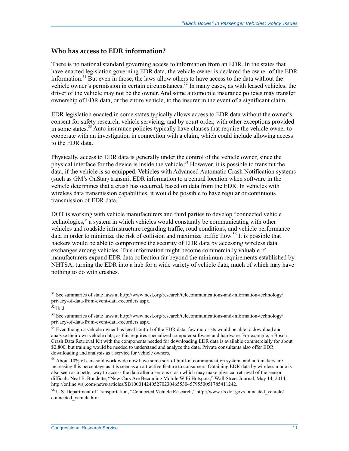#### **Who has access to EDR information?**

There is no national standard governing access to information from an EDR. In the states that have enacted legislation governing EDR data, the vehicle owner is declared the owner of the EDR information.<sup>51</sup> But even in those, the laws allow others to have access to the data without the vehicle owner's permission in certain circumstances.<sup>52</sup> In many cases, as with leased vehicles, the driver of the vehicle may not be the owner. And some automobile insurance policies may transfer ownership of EDR data, or the entire vehicle, to the insurer in the event of a significant claim.

EDR legislation enacted in some states typically allows access to EDR data without the owner's consent for safety research, vehicle servicing, and by court order, with other exceptions provided in some states.<sup>53</sup> Auto insurance policies typically have clauses that require the vehicle owner to cooperate with an investigation in connection with a claim, which could include allowing access to the EDR data.

Physically, access to EDR data is generally under the control of the vehicle owner, since the physical interface for the device is inside the vehicle.<sup>54</sup> However, it is possible to transmit the data, if the vehicle is so equipped. Vehicles with Advanced Automatic Crash Notification systems (such as GM's OnStar) transmit EDR information to a central location when software in the vehicle determines that a crash has occurred, based on data from the EDR. In vehicles with wireless data transmission capabilities, it would be possible to have regular or continuous transmission of EDR data.<sup>55</sup>

DOT is working with vehicle manufacturers and third parties to develop "connected vehicle technologies," a system in which vehicles would constantly be communicating with other vehicles and roadside infrastructure regarding traffic, road conditions, and vehicle performance data in order to minimize the risk of collision and maximize traffic flow.<sup>56</sup> It is possible that hackers would be able to compromise the security of EDR data by accessing wireless data exchanges among vehicles. This information might become commercially valuable if manufacturers expand EDR data collection far beyond the minimum requirements established by NHTSA, turning the EDR into a hub for a wide variety of vehicle data, much of which may have nothing to do with crashes.

<sup>&</sup>lt;sup>51</sup> See summaries of state laws at http://www.ncsl.org/research/telecommunications-and-information-technology/ privacy-of-data-from-event-data-recorders.aspx.

<sup>52</sup> Ibid.

<sup>53</sup> See summaries of state laws at http://www.ncsl.org/research/telecommunications-and-information-technology/ privacy-of-data-from-event-data-recorders.aspx.

<sup>&</sup>lt;sup>54</sup> Even though a vehicle owner has legal control of the EDR data, few motorists would be able to download and analyze their own vehicle data, as this requires specialized computer software and hardware. For example, a Bosch Crash Data Retrieval Kit with the components needed for downloading EDR data is available commercially for about \$2,800, but training would be needed to understand and analyze the data. Private consultants also offer EDR downloading and analysis as a service for vehicle owners.

<sup>&</sup>lt;sup>55</sup> About 10% of cars sold worldwide now have some sort of built-in communication system, and automakers are increasing this percentage as it is seen as an attractive feature to consumers. Obtaining EDR data by wireless mode is also seen as a better way to access the data after a serious crash which may make physical retrieval of the sensor difficult. Neal E. Boudette, "New Cars Are Becoming Mobile WiFi Hotspots," Wall Street Journal, May 14, 2014, http://online.wsj.com/news/articles/SB10001424052702304655304579550051785411242.

<sup>&</sup>lt;sup>56</sup> U.S. Department of Transportation, "Connected Vehicle Research," http://www.its.dot.gov/connected\_vehicle/ connected vehicle.htm.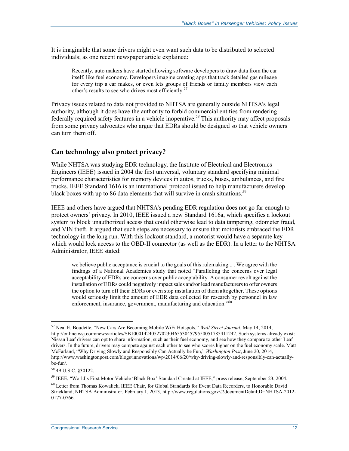It is imaginable that some drivers might even want such data to be distributed to selected individuals; as one recent newspaper article explained:

Recently, auto makers have started allowing software developers to draw data from the car itself, like fuel economy. Developers imagine creating apps that track detailed gas mileage for every trip a car makes, or even lets groups of friends or family members view each other's results to see who drives most efficiently.<sup>5</sup>

Privacy issues related to data not provided to NHTSA are generally outside NHTSA's legal authority, although it does have the authority to forbid commercial entities from rendering federally required safety features in a vehicle inoperative.<sup>58</sup> This authority may affect proposals from some privacy advocates who argue that EDRs should be designed so that vehicle owners can turn them off.

#### **Can technology also protect privacy?**

While NHTSA was studying EDR technology, the Institute of Electrical and Electronics Engineers (IEEE) issued in 2004 the first universal, voluntary standard specifying minimal performance characteristics for memory devices in autos, trucks, buses, ambulances, and fire trucks. IEEE Standard 1616 is an international protocol issued to help manufacturers develop black boxes with up to 86 data elements that will survive in crash situations.<sup>59</sup>

IEEE and others have argued that NHTSA's pending EDR regulation does not go far enough to protect owners' privacy. In 2010, IEEE issued a new Standard 1616a, which specifies a lockout system to block unauthorized access that could otherwise lead to data tampering, odometer fraud, and VIN theft. It argued that such steps are necessary to ensure that motorists embraced the EDR technology in the long run. With this lockout standard, a motorist would have a separate key which would lock access to the OBD-II connector (as well as the EDR). In a letter to the NHTSA Administrator, IEEE stated:

we believe public acceptance is crucial to the goals of this rulemaking... . We agree with the findings of a National Academies study that noted "Paralleling the concerns over legal acceptability of EDRs are concerns over public acceptability. A consumer revolt against the installation of EDRs could negatively impact sales and/or lead manufacturers to offer owners the option to turn off their EDRs or even stop installation of them altogether. These options would seriously limit the amount of EDR data collected for research by personnel in law enforcement, insurance, government, manufacturing and education."<sup>60</sup>

<sup>57</sup> Neal E. Boudette, "New Cars Are Becoming Mobile WiFi Hotspots," *Wall Street Journal*, May 14, 2014, http://online.wsj.com/news/articles/SB10001424052702304655304579550051785411242. Such systems already exist: Nissan Leaf drivers can opt to share information, such as their fuel economy, and see how they compare to other Leaf drivers. In the future, drivers may compete against each other to see who scores higher on the fuel economy scale. Matt McFarland, "Why Driving Slowly and Responsibly Can Actually be Fun," *Washington Post*, June 20, 2014, http://www.washingtonpost.com/blogs/innovations/wp/2014/06/20/why-driving-slowly-and-responsibly-can-actuallybe-fun/.

<sup>58 49</sup> U.S.C. §30122.

<sup>59</sup> IEEE, "World's First Motor Vehicle 'Black Box' Standard Created at IEEE," press release, September 23, 2004.

<sup>60</sup> Letter from Thomas Kowalick, IEEE Chair, for Global Standards for Event Data Recorders, to Honorable David Strickland, NHTSA Administrator, February 1, 2013, http://www.regulations.gov/#!documentDetail;D=NHTSA-2012- 0177-0766.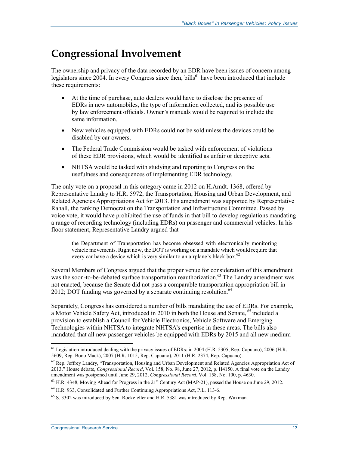## **Congressional Involvement**

The ownership and privacy of the data recorded by an EDR have been issues of concern among legislators since 2004. In every Congress since then, bills<sup>61</sup> have been introduced that include these requirements:

- At the time of purchase, auto dealers would have to disclose the presence of EDRs in new automobiles, the type of information collected, and its possible use by law enforcement officials. Owner's manuals would be required to include the same information.
- New vehicles equipped with EDRs could not be sold unless the devices could be disabled by car owners.
- The Federal Trade Commission would be tasked with enforcement of violations of these EDR provisions, which would be identified as unfair or deceptive acts.
- NHTSA would be tasked with studying and reporting to Congress on the usefulness and consequences of implementing EDR technology.

The only vote on a proposal in this category came in 2012 on H.Amdt. 1368, offered by Representative Landry to H.R. 5972, the Transportation, Housing and Urban Development, and Related Agencies Appropriations Act for 2013. His amendment was supported by Representative Rahall, the ranking Democrat on the Transportation and Infrastructure Committee. Passed by voice vote, it would have prohibited the use of funds in that bill to develop regulations mandating a range of recording technology (including EDRs) on passenger and commercial vehicles. In his floor statement, Representative Landry argued that

the Department of Transportation has become obsessed with electronically monitoring vehicle movements. Right now, the DOT is working on a mandate which would require that every car have a device which is very similar to an airplane's black box.<sup>62</sup>

Several Members of Congress argued that the proper venue for consideration of this amendment was the soon-to-be-debated surface transportation reauthorization.<sup>63</sup> The Landry amendment was not enacted, because the Senate did not pass a comparable transportation appropriation bill in 2012; DOT funding was governed by a separate continuing resolution.  $64$ 

Separately, Congress has considered a number of bills mandating the use of EDRs. For example, a Motor Vehicle Safety Act, introduced in 2010 in both the House and Senate, <sup>65</sup> included a provision to establish a Council for Vehicle Electronics, Vehicle Software and Emerging Technologies within NHTSA to integrate NHTSA's expertise in these areas. The bills also mandated that all new passenger vehicles be equipped with EDRs by 2015 and all new medium

<sup>&</sup>lt;sup>61</sup> Legislation introduced dealing with the privacy issues of EDRs: in 2004 (H.R. 5305, Rep. Capuano), 2006 (H.R. 5609, Rep. Bono Mack), 2007 (H.R. 1015, Rep. Capuano), 2011 (H.R. 2374, Rep. Capuano).

 $62$  Rep. Jeffrey Landry, "Transportation, Housing and Urban Development and Related Agencies Appropriation Act of 2013," House debate, *Congressional Record*, Vol. 158, No. 98, June 27, 2012, p. H4150. A final vote on the Landry amendment was postponed until June 29, 2012, *Congressional Record*, Vol. 158, No. 100, p. 4630.

<sup>&</sup>lt;sup>63</sup> H.R. 4348, Moving Ahead for Progress in the 21<sup>st</sup> Century Act (MAP-21), passed the House on June 29, 2012.

<sup>64</sup> H.R. 933, Consolidated and Further Continuing Appropriations Act, P.L. 113-6.

 $65$  S. 3302 was introduced by Sen. Rockefeller and H.R. 5381 was introduced by Rep. Waxman.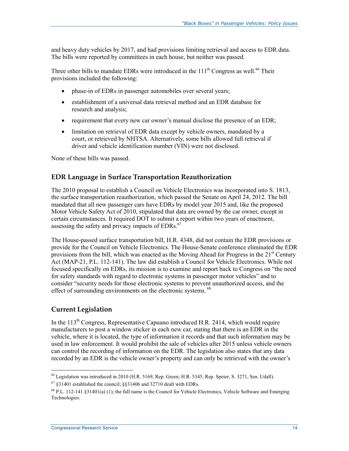and heavy duty vehicles by 2017, and had provisions limiting retrieval and access to EDR data. The bills were reported by committees in each house, but neither was passed.

Three other bills to mandate EDRs were introduced in the  $111<sup>th</sup>$  Congress as well.<sup>66</sup> Their provisions included the following:

- phase-in of EDRs in passenger automobiles over several years;
- establishment of a universal data retrieval method and an EDR database for research and analysis;
- requirement that every new car owner's manual disclose the presence of an EDR;
- limitation on retrieval of EDR data except by vehicle owners, mandated by a court, or retrieved by NHTSA. Alternatively, some bills allowed full retrieval if driver and vehicle identification number (VIN) were not disclosed.

None of these bills was passed.

#### **EDR Language in Surface Transportation Reauthorization**

The 2010 proposal to establish a Council on Vehicle Electronics was incorporated into S. 1813, the surface transportation reauthorization, which passed the Senate on April 24, 2012. The bill mandated that all new passenger cars have EDRs by model year 2015 and, like the proposed Motor Vehicle Safety Act of 2010, stipulated that data are owned by the car owner, except in certain circumstances. It required DOT to submit a report within two years of enactment, assessing the safety and privacy impacts of EDRs.<sup>67</sup>

The House-passed surface transportation bill, H.R. 4348, did not contain the EDR provisions or provide for the Council on Vehicle Electronics. The House-Senate conference eliminated the EDR provisions from the bill, which was enacted as the Moving Ahead for Progress in the  $21<sup>st</sup>$  Century Act (MAP-21, P.L. 112-141). The law did establish a Council for Vehicle Electronics. While not focused specifically on EDRs, its mission is to examine and report back to Congress on "the need for safety standards with regard to electronic systems in passenger motor vehicles" and to consider "security needs for those electronic systems to prevent unauthorized access, and the effect of surrounding environments on the electronic systems.<sup>68</sup>

#### **Current Legislation**

In the  $113<sup>th</sup>$  Congress, Representative Capuano introduced H.R. 2414, which would require manufacturers to post a window sticker in each new car, stating that there is an EDR in the vehicle, where it is located, the type of information it records and that such information may be used in law enforcement. It would prohibit the sale of vehicles after 2015 unless vehicle owners can control the recording of information on the EDR. The legislation also states that any data recorded by an EDR is the vehicle owner's property and can only be retrieved with the owner's

<sup>1</sup> <sup>66</sup> Legislation was introduced in 2010 (H.R. 5169, Rep. Green; H.R. 5345, Rep. Speier, S. 3271, Sen. Udall).

 $67 \text{ }$ \$31401 established the council; \$\$31406 and 32710 dealt with EDRs.

 $^{68}$  P.L. 112-141  $\frac{831401(a)}{1}$ ; the full name is the Council for Vehicle Electronics, Vehicle Software and Emerging Technologies.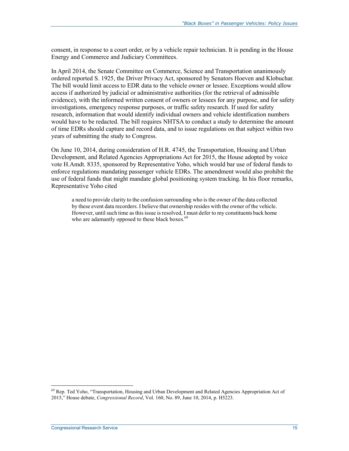consent, in response to a court order, or by a vehicle repair technician. It is pending in the House Energy and Commerce and Judiciary Committees.

In April 2014, the Senate Committee on Commerce, Science and Transportation unanimously ordered reported S. 1925, the Driver Privacy Act, sponsored by Senators Hoeven and Klobuchar. The bill would limit access to EDR data to the vehicle owner or lessee. Exceptions would allow access if authorized by judicial or administrative authorities (for the retrieval of admissible evidence), with the informed written consent of owners or lessees for any purpose, and for safety investigations, emergency response purposes, or traffic safety research. If used for safety research, information that would identify individual owners and vehicle identification numbers would have to be redacted. The bill requires NHTSA to conduct a study to determine the amount of time EDRs should capture and record data, and to issue regulations on that subject within two years of submitting the study to Congress.

On June 10, 2014, during consideration of H.R. 4745, the Transportation, Housing and Urban Development, and Related Agencies Appropriations Act for 2015, the House adopted by voice vote H.Amdt. 8335, sponsored by Representative Yoho, which would bar use of federal funds to enforce regulations mandating passenger vehicle EDRs. The amendment would also prohibit the use of federal funds that might mandate global positioning system tracking. In his floor remarks, Representative Yoho cited

a need to provide clarity to the confusion surrounding who is the owner of the data collected by these event data recorders. I believe that ownership resides with the owner of the vehicle. However, until such time as this issue is resolved, I must defer to my constituents back home who are adamantly opposed to these black boxes.<sup>69</sup>

<sup>&</sup>lt;sup>69</sup> Rep. Ted Yoho, "Transportation, Housing and Urban Development and Related Agencies Appropriation Act of 2015," House debate, *Congressional Record*, Vol. 160, No. 89, June 10, 2014, p. H5223.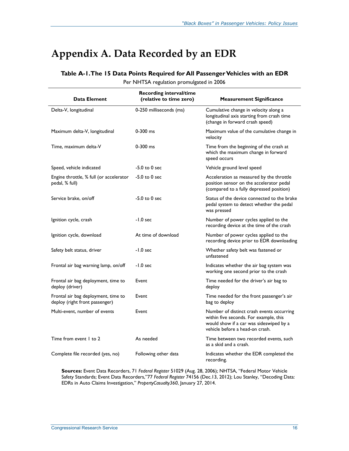## **Appendix A. Data Recorded by an EDR**

#### **Table A-1. The 15 Data Points Required for All Passenger Vehicles with an EDR**

Per NHTSA regulation promulgated in 2006

| Data Element                                                          | <b>Recording interval/time</b><br>(relative to time zero) | <b>Measurement Significance</b>                                                                                                                                   |
|-----------------------------------------------------------------------|-----------------------------------------------------------|-------------------------------------------------------------------------------------------------------------------------------------------------------------------|
| Delta-V, longitudinal                                                 | 0-250 milliseconds (ms)                                   | Cumulative change in velocity along a<br>longitudinal axis starting from crash time<br>(change in forward crash speed)                                            |
| Maximum delta-V, longitudinal                                         | $0 - 300$ ms                                              | Maximum value of the cumulative change in<br>velocity                                                                                                             |
| Time, maximum delta-V                                                 | $0-300$ ms                                                | Time from the beginning of the crash at<br>which the maximum change in forward<br>speed occurs                                                                    |
| Speed, vehicle indicated                                              | $-5.0$ to 0 sec                                           | Vehicle ground level speed                                                                                                                                        |
| Engine throttle, % full (or accelerator<br>pedal, % full)             | $-5.0$ to 0 sec                                           | Acceleration as measured by the throttle<br>position sensor on the accelerator pedal<br>(compared to a fully depressed position)                                  |
| Service brake, on/off                                                 | $-5.0$ to $0$ sec                                         | Status of the device connected to the brake<br>pedal system to detect whether the pedal<br>was pressed                                                            |
| Ignition cycle, crash                                                 | $-1.0$ sec                                                | Number of power cycles applied to the<br>recording device at the time of the crash                                                                                |
| Ignition cycle, download                                              | At time of download                                       | Number of power cycles applied to the<br>recording device prior to EDR downloading                                                                                |
| Safety belt status, driver                                            | $-1.0$ sec                                                | Whether safety belt was fastened or<br>unfastened                                                                                                                 |
| Frontal air bag warning lamp, on/off                                  | $-1.0$ sec                                                | Indicates whether the air bag system was<br>working one second prior to the crash                                                                                 |
| Frontal air bag deployment, time to<br>deploy (driver)                | Event                                                     | Time needed for the driver's air bag to<br>deploy                                                                                                                 |
| Frontal air bag deployment, time to<br>deploy (right front passenger) | Event                                                     | Time needed for the front passenger's air<br>bag to deploy                                                                                                        |
| Multi-event, number of events                                         | Event                                                     | Number of distinct crash events occurring<br>within five seconds. For example, this<br>would show if a car was sideswiped by a<br>vehicle before a head-on crash. |
| Time from event 1 to 2                                                | As needed                                                 | Time between two recorded events, such<br>as a skid and a crash.                                                                                                  |
| Complete file recorded (yes, no)                                      | Following other data                                      | Indicates whether the EDR completed the<br>recording.                                                                                                             |

**Sources:** Event Data Recorders, 71 *Federal Register* 51029 (Aug. 28, 2006); NHTSA, "Federal Motor Vehicle Safety Standards; Event Data Recorders,"77 *Federal Register* 74156 (Dec.13, 2012); Lou Stanley, "Decoding Data: EDRs in Auto Claims Investigation," *PropertyCasualty360*, January 27, 2014.